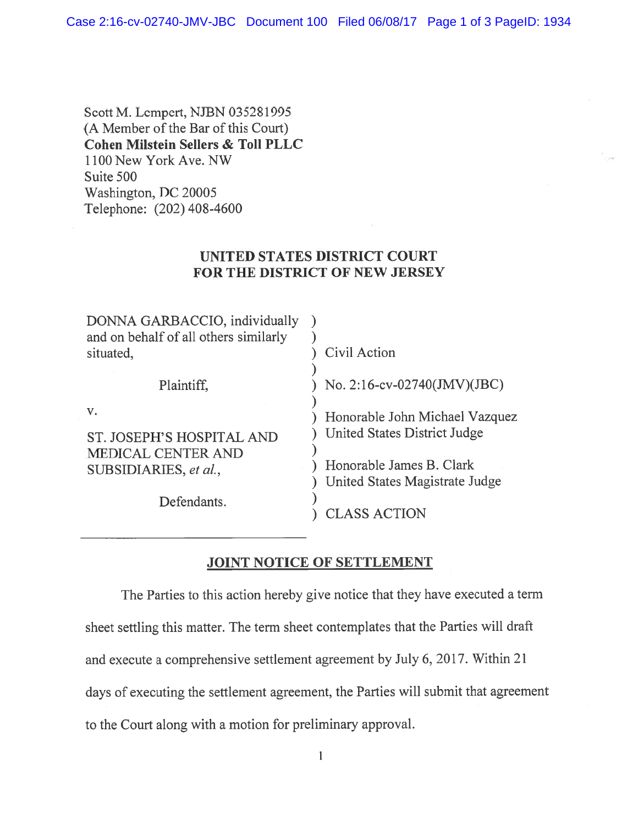Case 2:16-cv-02740-JMV-JBC Document 100 Filed 06/08/17 Page 1 of 3 PageID: 1934

Scott M. Lempert, NJBN 035281995 (A Member of the Bar of this Court) Cohen Milstein Sellers & Toll PLLC 1100 New York Ave. NW Suite 500 Washington, DC 20005 Telephone: (202) 408-4600

## UNITED STATES DISTRICT COURT FOR THE DISTRICT OF NEW JERSEY

| DONNA GARBACCIO, individually<br>and on behalf of all others similarly<br>situated, | Civil Action                                                   |
|-------------------------------------------------------------------------------------|----------------------------------------------------------------|
| Plaintiff,                                                                          | No. 2:16-cv-02740(JMV)(JBC)                                    |
| $V_{\star}$<br>ST. JOSEPH'S HOSPITAL AND                                            | Honorable John Michael Vazquez<br>United States District Judge |
| <b>MEDICAL CENTER AND</b><br>SUBSIDIARIES, et al.,                                  | Honorable James B. Clark<br>United States Magistrate Judge     |
| Defendants.                                                                         | LASS ACTION                                                    |

## JOINT NOTICE OF SETTLEMENT

The Parties to this action hereby give notice that they have executed <sup>a</sup> term sheet settling this matter. The term sheet contemplates that the Parties will draft and execute <sup>a</sup> comprehensive settlement agreemen<sup>t</sup> by July 6, 2017. Within <sup>21</sup> days of executing the settlement agreement, the Parties will submit that agreemen<sup>t</sup> to the Court along with <sup>a</sup> motion for preliminary approval.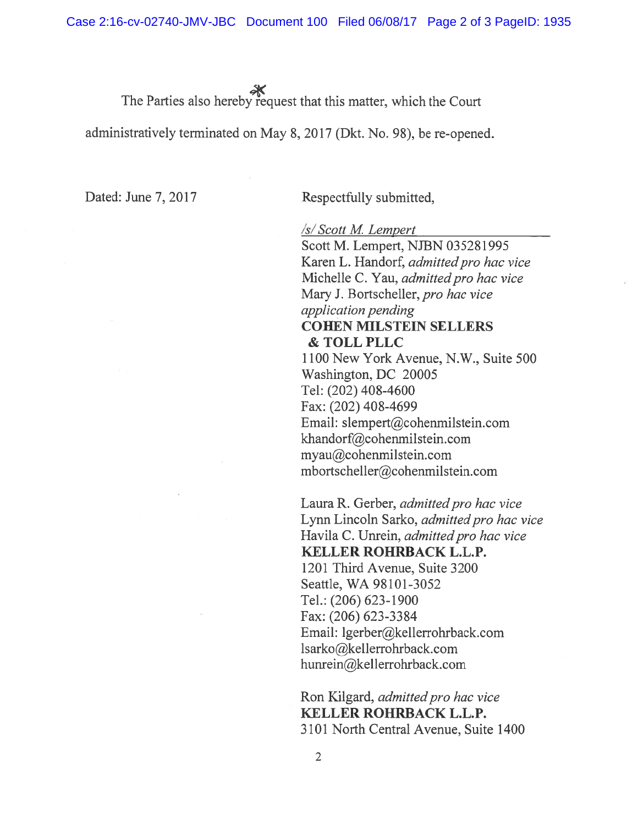The Parties also hereby request that this matter, which the Court

administratively terminated on May 8, 2017 (Dkt. No. 9\$), be re-opened.

Dated: June 7, 2017 Respectfully submitted,

/s/ Scott M. Lempert

Scott M. Lempert, NJBN 035281995 Karen L. Handorf, admitted pro hac vice Michelle C. Yau, admitted pro hac vice Mary J. Bortscheller, pro hac vice application pending COHEN MILSTEIN SELLERS & TOLL PLLC 1100 New York Avenue, N.W., Suite 500 Washington, DC 20005

Tel: (202) 408-4600 Fax: (202) 408-4699 Email: slempert@cohenmilstein.com khandorf@cohenmilstein.com myau@cohenmilstein.com mbortscheller@cohenmilstein.com

Laura R. Gerber, admitted pro hac vice Lynn Lincoln Sarko, *admitted pro hac vice* Havila C. Unrein, admitted pro hac vice KELLER ROHRBACK L.L.P. 1201 Third Avenue, Suite 3200 Seattle, WA 98101-3052 Tel.: (206) 623-1900 Fax: (206) 623-3384 Email: lgerber@kellerrohrback.com lsarko@kellerrohrback.com hunrein@kellerrohrback.com

Ron Kilgard, admitted pro hac vice KELLER ROHRBACK L.L.P. 3101 North Central Avenue, Suite 1400